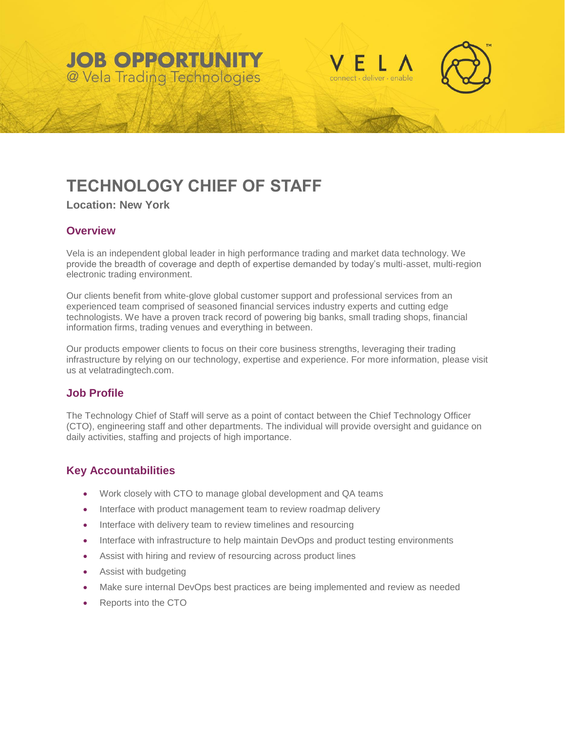# **JOB OPPORTUNITY** @ Vela Trading Technologies





# **TECHNOLOGY CHIEF OF STAFF**

**Location: New York**

## **Overview**

Vela is an independent global leader in high performance trading and market data technology. We provide the breadth of coverage and depth of expertise demanded by today's multi-asset, multi-region electronic trading environment.

Our clients benefit from white-glove global customer support and professional services from an experienced team comprised of seasoned financial services industry experts and cutting edge technologists. We have a proven track record of powering big banks, small trading shops, financial information firms, trading venues and everything in between.

Our products empower clients to focus on their core business strengths, leveraging their trading infrastructure by relying on our technology, expertise and experience. For more information, please visit us at velatradingtech.com.

### **Job Profile**

The Technology Chief of Staff will serve as a point of contact between the Chief Technology Officer (CTO), engineering staff and other departments. The individual will provide oversight and guidance on daily activities, staffing and projects of high importance.

### **Key Accountabilities**

- Work closely with CTO to manage global development and QA teams
- Interface with product management team to review roadmap delivery
- Interface with delivery team to review timelines and resourcing
- Interface with infrastructure to help maintain DevOps and product testing environments
- Assist with hiring and review of resourcing across product lines
- Assist with budgeting
- Make sure internal DevOps best practices are being implemented and review as needed
- Reports into the CTO